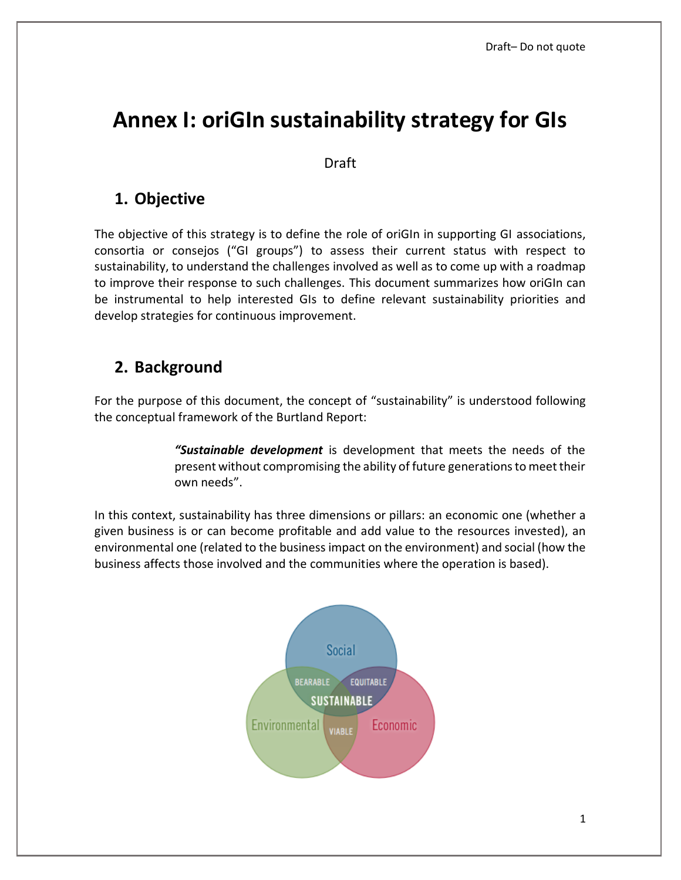# **Annex I: oriGIn sustainability strategy for GIs**

Draft

### **1. Objective**

The objective of this strategy is to define the role of oriGIn in supporting GI associations, consortia or consejos ("GI groups") to assess their current status with respect to sustainability, to understand the challenges involved as well as to come up with a roadmap to improve their response to such challenges. This document summarizes how oriGIn can be instrumental to help interested GIs to define relevant sustainability priorities and develop strategies for continuous improvement.

### **2. Background**

For the purpose of this document, the concept of "sustainability" is understood following the conceptual framework of the Burtland Report:

> *"Sustainable development* is development that meets the needs of the present without compromising the ability of future generations to meet their own needs".

In this context, sustainability has three dimensions or pillars: an economic one (whether a given business is or can become profitable and add value to the resources invested), an environmental one (related to the business impact on the environment) and social (how the business affects those involved and the communities where the operation is based).

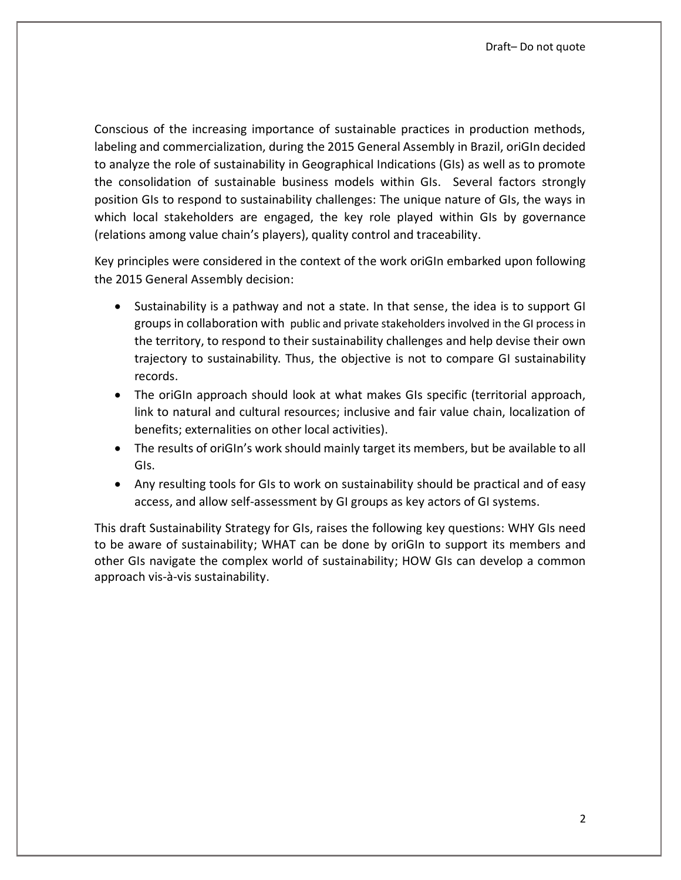Conscious of the increasing importance of sustainable practices in production methods, labeling and commercialization, during the 2015 General Assembly in Brazil, oriGIn decided to analyze the role of sustainability in Geographical Indications (GIs) as well as to promote the consolidation of sustainable business models within GIs. Several factors strongly position GIs to respond to sustainability challenges: The unique nature of GIs, the ways in which local stakeholders are engaged, the key role played within GIs by governance (relations among value chain's players), quality control and traceability.

Key principles were considered in the context of the work oriGIn embarked upon following the 2015 General Assembly decision:

- Sustainability is a pathway and not a state. In that sense, the idea is to support GI groups in collaboration with public and private stakeholders involved in the GI process in the territory, to respond to their sustainability challenges and help devise their own trajectory to sustainability. Thus, the objective is not to compare GI sustainability records.
- The oriGIn approach should look at what makes GIs specific (territorial approach, link to natural and cultural resources; inclusive and fair value chain, localization of benefits; externalities on other local activities).
- The results of oriGIn's work should mainly target its members, but be available to all GIs.
- Any resulting tools for GIs to work on sustainability should be practical and of easy access, and allow self-assessment by GI groups as key actors of GI systems.

This draft Sustainability Strategy for GIs, raises the following key questions: WHY GIs need to be aware of sustainability; WHAT can be done by oriGIn to support its members and other GIs navigate the complex world of sustainability; HOW GIs can develop a common approach vis-à-vis sustainability.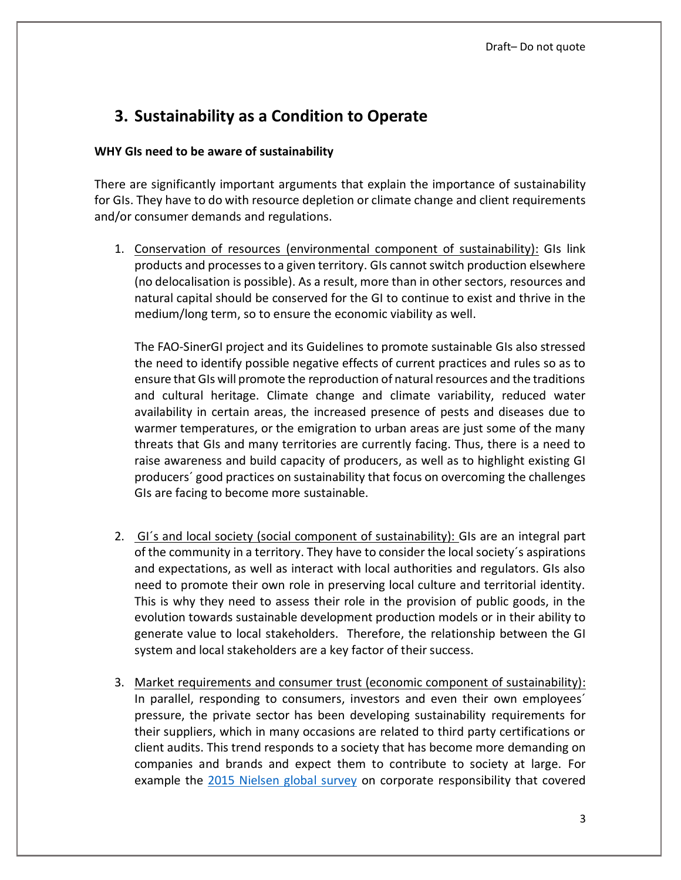# **3. Sustainability as a Condition to Operate**

### **WHY GIs need to be aware of sustainability**

There are significantly important arguments that explain the importance of sustainability for GIs. They have to do with resource depletion or climate change and client requirements and/or consumer demands and regulations.

1. Conservation of resources (environmental component of sustainability): GIs link products and processes to a given territory. GIs cannot switch production elsewhere (no delocalisation is possible). As a result, more than in other sectors, resources and natural capital should be conserved for the GI to continue to exist and thrive in the medium/long term, so to ensure the economic viability as well.

The FAO-SinerGI project and its Guidelines to promote sustainable GIs also stressed the need to identify possible negative effects of current practices and rules so as to ensure that GIs will promote the reproduction of natural resources and the traditions and cultural heritage. Climate change and climate variability, reduced water availability in certain areas, the increased presence of pests and diseases due to warmer temperatures, or the emigration to urban areas are just some of the many threats that GIs and many territories are currently facing. Thus, there is a need to raise awareness and build capacity of producers, as well as to highlight existing GI producers´ good practices on sustainability that focus on overcoming the challenges GIs are facing to become more sustainable.

- 2. GI´s and local society (social component of sustainability): GIs are an integral part of the community in a territory. They have to consider the local society´s aspirations and expectations, as well as interact with local authorities and regulators. GIs also need to promote their own role in preserving local culture and territorial identity. This is why they need to assess their role in the provision of public goods, in the evolution towards sustainable development production models or in their ability to generate value to local stakeholders. Therefore, the relationship between the GI system and local stakeholders are a key factor of their success.
- 3. Market requirements and consumer trust (economic component of sustainability): In parallel, responding to consumers, investors and even their own employees´ pressure, the private sector has been developing sustainability requirements for their suppliers, which in many occasions are related to third party certifications or client audits. This trend responds to a society that has become more demanding on companies and brands and expect them to contribute to society at large. For example the [2015 Nielsen global survey](http://www.nielsen.com/cn/en/press-room/2015/consumer-goods-brands-that-demonstrate-commitment-to-sustainability-outperform.html) on corporate responsibility that covered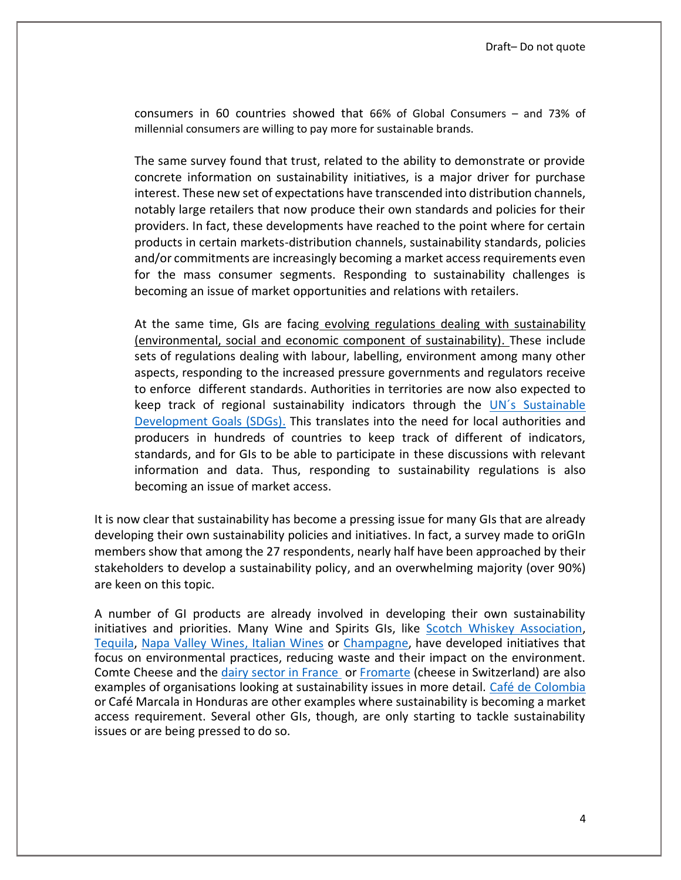consumers in 60 countries showed that 66% of Global Consumers – and 73% of millennial consumers are willing to pay more for sustainable brands.

The same survey found that trust, related to the ability to demonstrate or provide concrete information on sustainability initiatives, is a major driver for purchase interest. These new set of expectations have transcended into distribution channels, notably large retailers that now produce their own standards and policies for their providers. In fact, these developments have reached to the point where for certain products in certain markets-distribution channels, sustainability standards, policies and/or commitments are increasingly becoming a market access requirements even for the mass consumer segments. Responding to sustainability challenges is becoming an issue of market opportunities and relations with retailers.

At the same time, GIs are facing evolving regulations dealing with sustainability (environmental, social and economic component of sustainability). These include sets of regulations dealing with labour, labelling, environment among many other aspects, responding to the increased pressure governments and regulators receive to enforce different standards. Authorities in territories are now also expected to keep track of regional sustainability indicators through the [UN´s Sustainable](https://sustainabledevelopment.un.org/?menu=1300)  [Development Goals \(SDGs\).](https://sustainabledevelopment.un.org/?menu=1300) This translates into the need for local authorities and producers in hundreds of countries to keep track of different of indicators, standards, and for GIs to be able to participate in these discussions with relevant information and data. Thus, responding to sustainability regulations is also becoming an issue of market access.

It is now clear that sustainability has become a pressing issue for many GIs that are already developing their own sustainability policies and initiatives. In fact, a survey made to oriGIn members show that among the 27 respondents, nearly half have been approached by their stakeholders to develop a sustainability policy, and an overwhelming majority (over 90%) are keen on this topic.

A number of GI products are already involved in developing their own sustainability initiatives and priorities. Many Wine and Spirits GIs, like [Scotch Whiskey Association,](http://www.scotch-whisky.org.uk/news-publications/publications/documents/environmental-strategy-refresh/#.WTkqU4WcHct) [Tequila,](https://www.crt.org.mx/images/Documentos/Estrategia_Sustentabilidad.pdf) [Napa Valley Wines,](https://napagreen.org/) [Italian Wines](http://www.federdoc.com/) or [Champagne,](https://www.champagne.fr/en/sustainable-viticulture/champagne-sustainable-development) have developed initiatives that focus on environmental practices, reducing waste and their impact on the environment. Comte Cheese and the [dairy sector in France](http://www.maison-du-lait.com/fr/filiere-laitiere/une-filiere-naturellement-vertueuse) or [Fromarte](http://www.fromarte.ch/fr/services/environnement) (cheese in Switzerland) are also examples of organisations looking at sustainability issues in more detail. [Café de Colombia](https://www.federaciondecafeteros.org/particulares/es/sostenibilidad_en_accion) or Café Marcala in Honduras are other examples where sustainability is becoming a market access requirement. Several other GIs, though, are only starting to tackle sustainability issues or are being pressed to do so.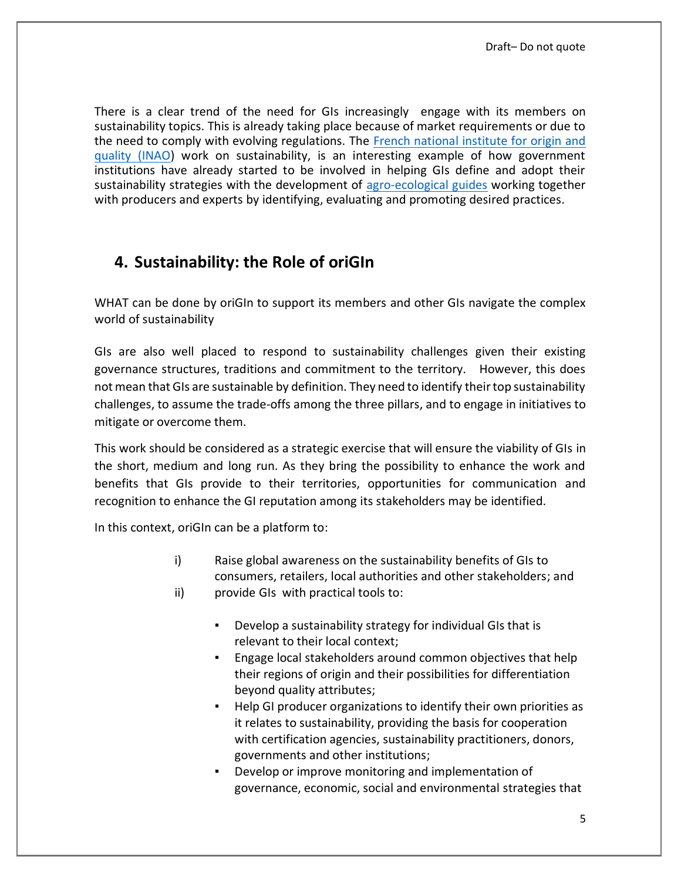There is a clear trend of the need for GIs increasingly engage with its members on sustainability topics. This is already taking place because of market requirements or due to the need to comply with evolving regulations. The [French national institute for origin and](http://www.inao.gouv.fr/eng/)  [quality \(INAO\)](http://www.inao.gouv.fr/eng/) work on sustainability, is an interesting example of how government institutions have already started to be involved in helping GIs define and adopt their sustainability strategies with the development of [agro-ecological guides](http://www.inao.gouv.fr/eng/Our-News/Presentation-du-Guide-de-l-agroecologie-en-viticulture) working together with producers and experts by identifying, evaluating and promoting desired practices.

### **4. Sustainability: the Role of oriGIn**

WHAT can be done by oriGIn to support its members and other GIs navigate the complex world of sustainability

GIs are also well placed to respond to sustainability challenges given their existing governance structures, traditions and commitment to the territory. However, this does not mean that GIs are sustainable by definition. They need to identify their top sustainability challenges, to assume the trade-offs among the three pillars, and to engage in initiatives to mitigate or overcome them.

This work should be considered as a strategic exercise that will ensure the viability of GIs in the short, medium and long run. As they bring the possibility to enhance the work and benefits that GIs provide to their territories, opportunities for communication and recognition to enhance the GI reputation among its stakeholders may be identified.

In this context, oriGIn can be a platform to:

- i) Raise global awareness on the sustainability benefits of GIs to consumers, retailers, local authorities and other stakeholders; and ii) provide GIs with practical tools to:
	- Develop a sustainability strategy for individual GIs that is relevant to their local context;
	- Engage local stakeholders around common objectives that help their regions of origin and their possibilities for differentiation beyond quality attributes;
	- Help GI producer organizations to identify their own priorities as it relates to sustainability, providing the basis for cooperation with certification agencies, sustainability practitioners, donors, governments and other institutions;
	- Develop or improve monitoring and implementation of governance, economic, social and environmental strategies that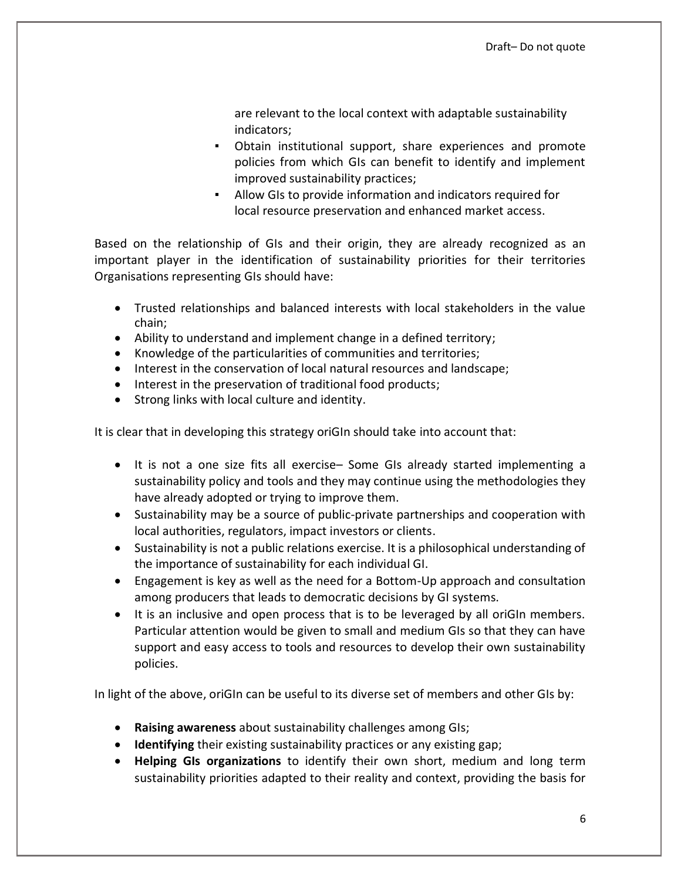are relevant to the local context with adaptable sustainability indicators;

- Obtain institutional support, share experiences and promote policies from which GIs can benefit to identify and implement improved sustainability practices;
- Allow GIs to provide information and indicators required for local resource preservation and enhanced market access.

Based on the relationship of GIs and their origin, they are already recognized as an important player in the identification of sustainability priorities for their territories Organisations representing GIs should have:

- Trusted relationships and balanced interests with local stakeholders in the value chain;
- Ability to understand and implement change in a defined territory;
- Knowledge of the particularities of communities and territories;
- Interest in the conservation of local natural resources and landscape;
- Interest in the preservation of traditional food products;
- Strong links with local culture and identity.

It is clear that in developing this strategy oriGIn should take into account that:

- It is not a one size fits all exercise– Some GIs already started implementing a sustainability policy and tools and they may continue using the methodologies they have already adopted or trying to improve them.
- Sustainability may be a source of public-private partnerships and cooperation with local authorities, regulators, impact investors or clients.
- Sustainability is not a public relations exercise. It is a philosophical understanding of the importance of sustainability for each individual GI.
- Engagement is key as well as the need for a Bottom-Up approach and consultation among producers that leads to democratic decisions by GI systems.
- It is an inclusive and open process that is to be leveraged by all oriGIn members. Particular attention would be given to small and medium GIs so that they can have support and easy access to tools and resources to develop their own sustainability policies.

In light of the above, oriGIn can be useful to its diverse set of members and other GIs by:

- **Raising awareness** about sustainability challenges among GIs;
- **Identifying** their existing sustainability practices or any existing gap;
- **Helping GIs organizations** to identify their own short, medium and long term sustainability priorities adapted to their reality and context, providing the basis for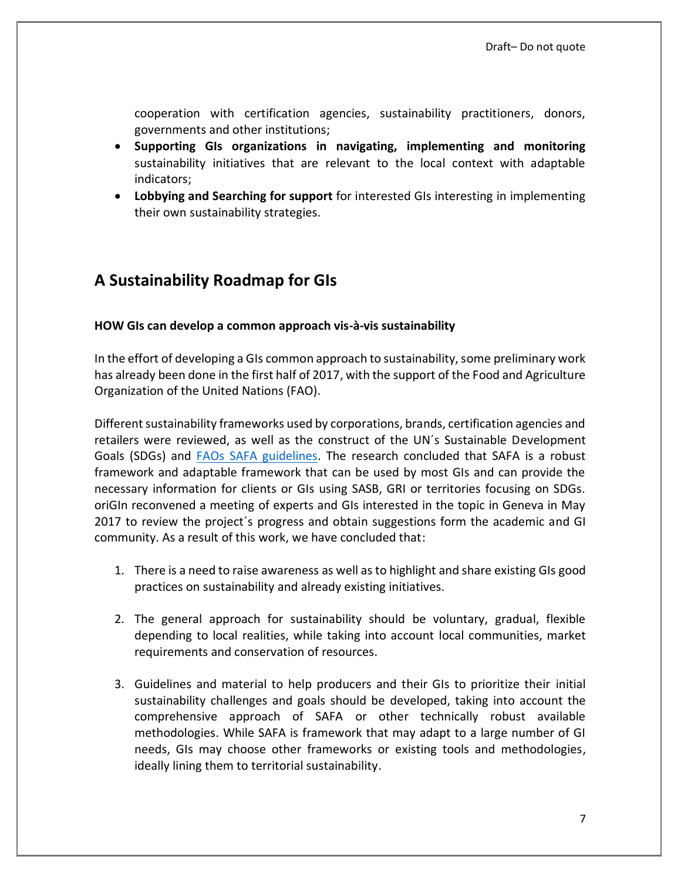cooperation with certification agencies, sustainability practitioners, donors, governments and other institutions;

- **Supporting GIs organizations in navigating, implementing and monitoring**  sustainability initiatives that are relevant to the local context with adaptable indicators;
- **Lobbying and Searching for support** for interested GIs interesting in implementing their own sustainability strategies.

# **A Sustainability Roadmap for GIs**

#### **HOW GIs can develop a common approach vis-à-vis sustainability**

In the effort of developing a GIs common approach to sustainability, some preliminary work has already been done in the first half of 2017, with the support of the Food and Agriculture Organization of the United Nations (FAO).

Different sustainability frameworks used by corporations, brands, certification agencies and retailers were reviewed, as well as the construct of the UN´s Sustainable Development Goals (SDGs) and FAOs [SAFA guidelines.](http://www.fao.org/fileadmin/templates/nr/sustainability_pathways/docs/SAFAGuidelines_presentation_web_122013.pdf) The research concluded that SAFA is a robust framework and adaptable framework that can be used by most GIs and can provide the necessary information for clients or GIs using SASB, GRI or territories focusing on SDGs. oriGIn reconvened a meeting of experts and GIs interested in the topic in Geneva in May 2017 to review the project´s progress and obtain suggestions form the academic and GI community. As a result of this work, we have concluded that:

- 1. There is a need to raise awareness as well as to highlight and share existing GIs good practices on sustainability and already existing initiatives.
- 2. The general approach for sustainability should be voluntary, gradual, flexible depending to local realities, while taking into account local communities, market requirements and conservation of resources.
- 3. Guidelines and material to help producers and their GIs to prioritize their initial sustainability challenges and goals should be developed, taking into account the comprehensive approach of SAFA or other technically robust available methodologies. While SAFA is framework that may adapt to a large number of GI needs, GIs may choose other frameworks or existing tools and methodologies, ideally lining them to territorial sustainability.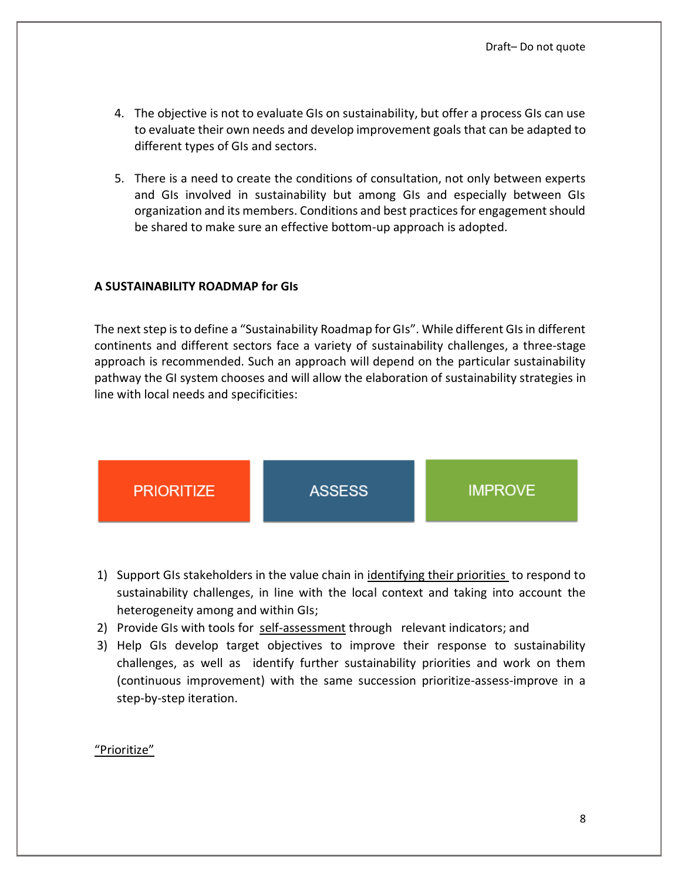- 4. The objective is not to evaluate GIs on sustainability, but offer a process GIs can use to evaluate their own needs and develop improvement goals that can be adapted to different types of GIs and sectors.
- 5. There is a need to create the conditions of consultation, not only between experts and GIs involved in sustainability but among GIs and especially between GIs organization and its members. Conditions and best practices for engagement should be shared to make sure an effective bottom-up approach is adopted.

### **A SUSTAINABILITY ROADMAP for GIs**

The next step is to define a "Sustainability Roadmap for GIs". While different GIs in different continents and different sectors face a variety of sustainability challenges, a three-stage approach is recommended. Such an approach will depend on the particular sustainability pathway the GI system chooses and will allow the elaboration of sustainability strategies in line with local needs and specificities:



- 1) Support GIs stakeholders in the value chain in identifying their priorities to respond to sustainability challenges, in line with the local context and taking into account the heterogeneity among and within GIs;
- 2) Provide GIs with tools for self-assessment through relevant indicators; and
- 3) Help GIs develop target objectives to improve their response to sustainability challenges, as well as identify further sustainability priorities and work on them (continuous improvement) with the same succession prioritize-assess-improve in a step-by-step iteration.

### "Prioritize"